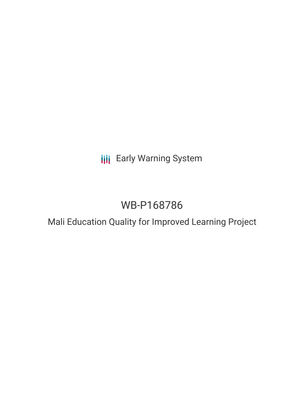## **III** Early Warning System

# WB-P168786

### Mali Education Quality for Improved Learning Project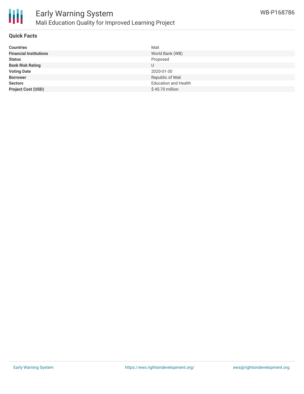

#### **Quick Facts**

| <b>Countries</b>              | Mali                        |
|-------------------------------|-----------------------------|
| <b>Financial Institutions</b> | World Bank (WB)             |
| <b>Status</b>                 | Proposed                    |
| <b>Bank Risk Rating</b>       | U                           |
| <b>Voting Date</b>            | 2020-01-30                  |
| <b>Borrower</b>               | Republic of Mali            |
| <b>Sectors</b>                | <b>Education and Health</b> |
| <b>Project Cost (USD)</b>     | $$45.70$ million            |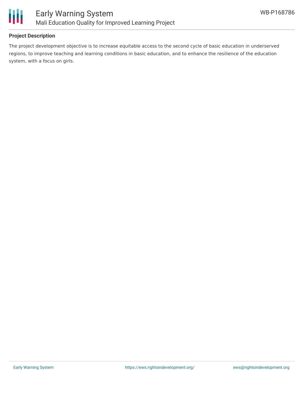

#### **Project Description**

The project development objective is to increase equitable access to the second cycle of basic education in underserved regions, to improve teaching and learning conditions in basic education, and to enhance the resilience of the education system, with a focus on girls.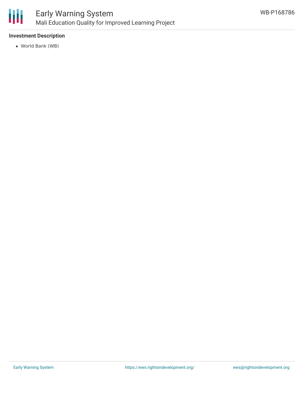

#### **Investment Description**

World Bank (WB)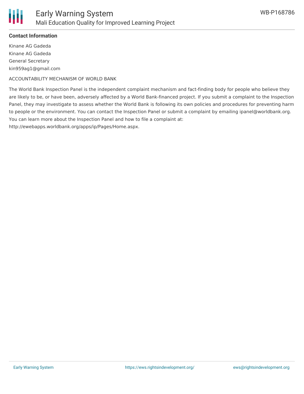

Kinane AG Gadeda Kinane AG Gadeda General Secretary kin959ag1@gmail.com

ACCOUNTABILITY MECHANISM OF WORLD BANK

The World Bank Inspection Panel is the independent complaint mechanism and fact-finding body for people who believe they are likely to be, or have been, adversely affected by a World Bank-financed project. If you submit a complaint to the Inspection Panel, they may investigate to assess whether the World Bank is following its own policies and procedures for preventing harm to people or the environment. You can contact the Inspection Panel or submit a complaint by emailing ipanel@worldbank.org. You can learn more about the Inspection Panel and how to file a complaint at: http://ewebapps.worldbank.org/apps/ip/Pages/Home.aspx.